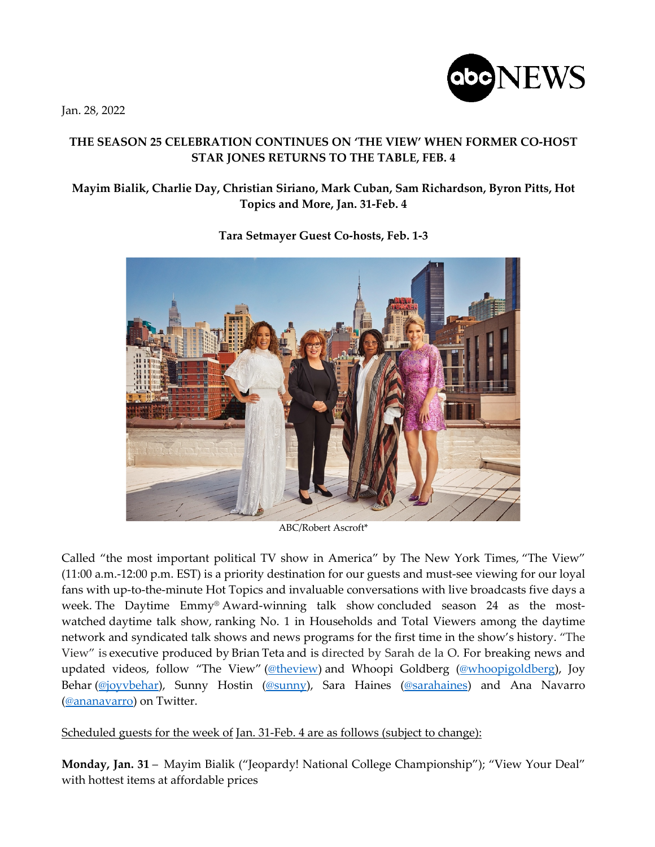Jan. 28, 2022



## **THE SEASON 25 CELEBRATION CONTINUES ON 'THE VIEW' WHEN FORMER CO-HOST STAR JONES RETURNS TO THE TABLE, FEB. 4**

## **Mayim Bialik, Charlie Day, Christian Siriano, Mark Cuban, Sam Richardson, Byron Pitts, Hot Topics and More, Jan. 31-Feb. 4**



**Tara Setmayer Guest Co-hosts, Feb. 1-3**

ABC/Robert Ascroft\*

Called "the most important political TV show in America" by The New York Times, "The View" (11:00 a.m.-12:00 p.m. EST) is a priority destination for our guests and must-see viewing for our loyal fans with up-to-the-minute Hot Topics and invaluable conversations with live broadcasts five days a week. The Daytime Emmy® Award-winning talk show concluded season 24 as the mostwatched daytime talk show, ranking No. 1 in Households and Total Viewers among the daytime network and syndicated talk shows and news programs for the first time in the show's history. "The View" is executive produced by Brian Teta and is directed by Sarah de la O. For breaking news and updated videos, follow "The View" (@theview) and Whoopi Goldberg (@whoopigoldberg), Joy Behar (@joyvbehar), Sunny Hostin (@sunny), Sara Haines (@sarahaines) and Ana Navarro (@ananavarro) on Twitter.

Scheduled guests for the week of Jan. 31-Feb. 4 are as follows (subject to change):

**Monday, Jan. 31** – Mayim Bialik ("Jeopardy! National College Championship"); "View Your Deal" with hottest items at affordable prices